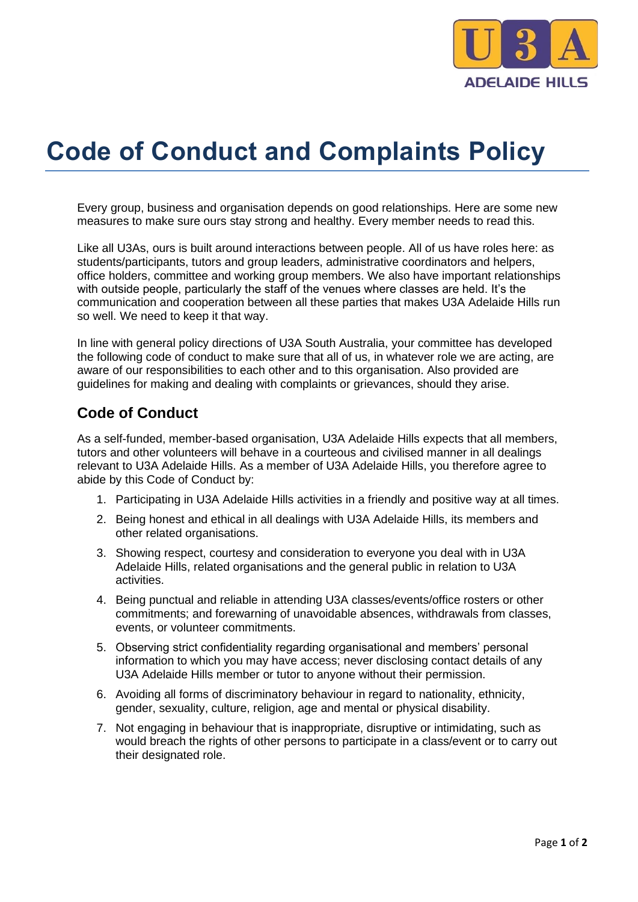

## **Code of Conduct and Complaints Policy**

Every group, business and organisation depends on good relationships. Here are some new measures to make sure ours stay strong and healthy. Every member needs to read this.

Like all U3As, ours is built around interactions between people. All of us have roles here: as students/participants, tutors and group leaders, administrative coordinators and helpers, office holders, committee and working group members. We also have important relationships with outside people, particularly the staff of the venues where classes are held. It's the communication and cooperation between all these parties that makes U3A Adelaide Hills run so well. We need to keep it that way.

In line with general policy directions of U3A South Australia, your committee has developed the following code of conduct to make sure that all of us, in whatever role we are acting, are aware of our responsibilities to each other and to this organisation. Also provided are guidelines for making and dealing with complaints or grievances, should they arise.

## **Code of Conduct**

As a self-funded, member-based organisation, U3A Adelaide Hills expects that all members, tutors and other volunteers will behave in a courteous and civilised manner in all dealings relevant to U3A Adelaide Hills. As a member of U3A Adelaide Hills, you therefore agree to abide by this Code of Conduct by:

- 1. Participating in U3A Adelaide Hills activities in a friendly and positive way at all times.
- 2. Being honest and ethical in all dealings with U3A Adelaide Hills, its members and other related organisations.
- 3. Showing respect, courtesy and consideration to everyone you deal with in U3A Adelaide Hills, related organisations and the general public in relation to U3A activities.
- 4. Being punctual and reliable in attending U3A classes/events/office rosters or other commitments; and forewarning of unavoidable absences, withdrawals from classes, events, or volunteer commitments.
- 5. Observing strict confidentiality regarding organisational and members' personal information to which you may have access; never disclosing contact details of any U3A Adelaide Hills member or tutor to anyone without their permission.
- 6. Avoiding all forms of discriminatory behaviour in regard to nationality, ethnicity, gender, sexuality, culture, religion, age and mental or physical disability.
- 7. Not engaging in behaviour that is inappropriate, disruptive or intimidating, such as would breach the rights of other persons to participate in a class/event or to carry out their designated role.